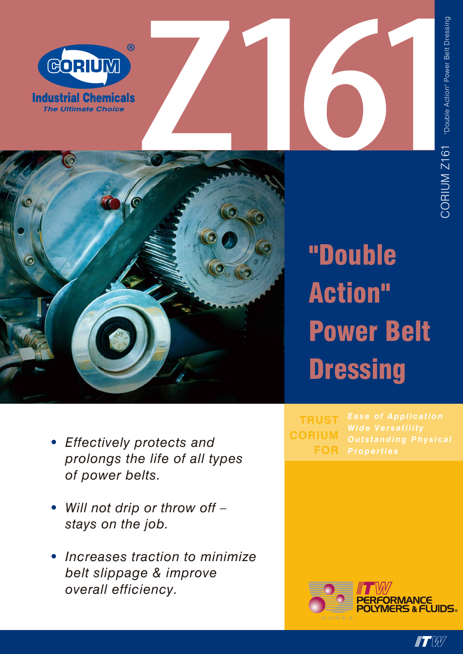





**"PERFORMANCE<br>POLYMERS & FLUIDS。** 



## "Double Action" Power Belt **Dressing**

- *Effectively protects and prolongs the life of all types of power belts.*
- *• Will not drip or throw off – stays on the job.*

*•*

*• Increases traction to minimize belt slippage & improve overall efficiency.*

*Properties* **TRUST CORIUM FOR**